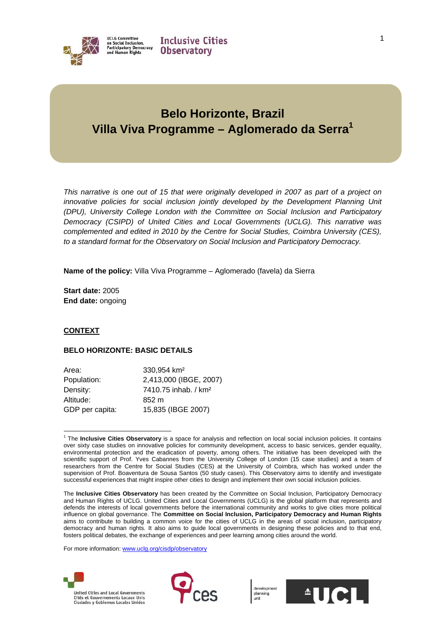

# **Belo Horizonte, Brazil Villa Viva Programme – Aglomerado da Serra1**

*This narrative is one out of 15 that were originally developed in 2007 as part of a project on*  innovative policies for social inclusion jointly developed by the Development Planning Unit *(DPU), University College London with the Committee on Social Inclusion and Participatory Democracy (CSIPD) of United Cities and Local Governments (UCLG). This narrative was complemented and edited in 2010 by the Centre for Social Studies, Coimbra University (CES), to a standard format for the Observatory on Social Inclusion and Participatory Democracy.* 

**Name of the policy:** Villa Viva Programme – Aglomerado (favela) da Sierra

**Start date:** 2005 **End date:** ongoing

# **CONTEXT**

# **BELO HORIZONTE: BASIC DETAILS**

| Area:           | 330.954 km <sup>2</sup>          |
|-----------------|----------------------------------|
| Population:     | 2,413,000 (IBGE, 2007)           |
| Density:        | 7410.75 inhab. / km <sup>2</sup> |
| Altitude:       | 852 m                            |
| GDP per capita: | 15,835 (IBGE 2007)               |

 $\overline{a}$ 1 The **Inclusive Cities Observatory** is a space for analysis and reflection on local social inclusion policies. It contains over sixty case studies on innovative policies for community development, access to basic services, gender equality, environmental protection and the eradication of poverty, among others. The initiative has been developed with the scientific support of Prof. Yves Cabannes from the University College of London (15 case studies) and a team of researchers from the Centre for Social Studies (CES) at the University of Coimbra, which has worked under the supervision of Prof. Boaventura de Sousa Santos (50 study cases). This Observatory aims to identify and investigate successful experiences that might inspire other cities to design and implement their own social inclusion policies.

For more information: www.uclg.org/cisdp/observatory







The **Inclusive Cities Observatory** has been created by the Committee on Social Inclusion, Participatory Democracy and Human Rights of UCLG. United Cities and Local Governments (UCLG) is the global platform that represents and defends the interests of local governments before the international community and works to give cities more political influence on global governance. The **Committee on Social Inclusion, Participatory Democracy and Human Rights** aims to contribute to building a common voice for the cities of UCLG in the areas of social inclusion, participatory democracy and human rights. It also aims to guide local governments in designing these policies and to that end, fosters political debates, the exchange of experiences and peer learning among cities around the world.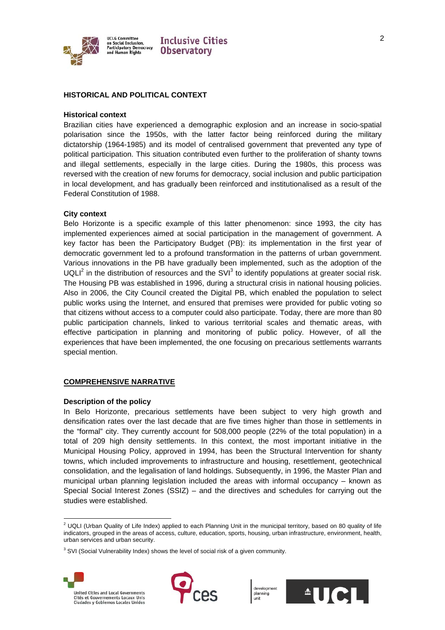

**UCLG Committee** on Social Inclusion,<br>Participatory Democracy<br>and Human Rights

# **Inclusive Cities Observatory**

# **HISTORICAL AND POLITICAL CONTEXT**

#### **Historical context**

Brazilian cities have experienced a demographic explosion and an increase in socio-spatial polarisation since the 1950s, with the latter factor being reinforced during the military dictatorship (1964-1985) and its model of centralised government that prevented any type of political participation. This situation contributed even further to the proliferation of shanty towns and illegal settlements, especially in the large cities. During the 1980s, this process was reversed with the creation of new forums for democracy, social inclusion and public participation in local development, and has gradually been reinforced and institutionalised as a result of the Federal Constitution of 1988.

#### **City context**

Belo Horizonte is a specific example of this latter phenomenon: since 1993, the city has implemented experiences aimed at social participation in the management of government. A key factor has been the Participatory Budget (PB): its implementation in the first year of democratic government led to a profound transformation in the patterns of urban government. Various innovations in the PB have gradually been implemented, such as the adoption of the UQLI<sup>2</sup> in the distribution of resources and the SVI<sup>3</sup> to identify populations at greater social risk. The Housing PB was established in 1996, during a structural crisis in national housing policies. Also in 2006, the City Council created the Digital PB, which enabled the population to select public works using the Internet, and ensured that premises were provided for public voting so that citizens without access to a computer could also participate. Today, there are more than 80 public participation channels, linked to various territorial scales and thematic areas, with effective participation in planning and monitoring of public policy. However, of all the experiences that have been implemented, the one focusing on precarious settlements warrants special mention.

#### **COMPREHENSIVE NARRATIVE**

#### **Description of the policy**

In Belo Horizonte, precarious settlements have been subject to very high growth and densification rates over the last decade that are five times higher than those in settlements in the "formal" city. They currently account for 508,000 people (22% of the total population) in a total of 209 high density settlements. In this context, the most important initiative in the Municipal Housing Policy, approved in 1994, has been the Structural Intervention for shanty towns, which included improvements to infrastructure and housing, resettlement, geotechnical consolidation, and the legalisation of land holdings. Subsequently, in 1996, the Master Plan and municipal urban planning legislation included the areas with informal occupancy – known as Special Social Interest Zones (SSIZ) – and the directives and schedules for carrying out the studies were established.

 $3$  SVI (Social Vulnerability Index) shows the level of social risk of a given community.







 $\overline{a}$  $2$  UQLI (Urban Quality of Life Index) applied to each Planning Unit in the municipal territory, based on 80 quality of life indicators, grouped in the areas of access, culture, education, sports, housing, urban infrastructure, environment, health, urban services and urban security.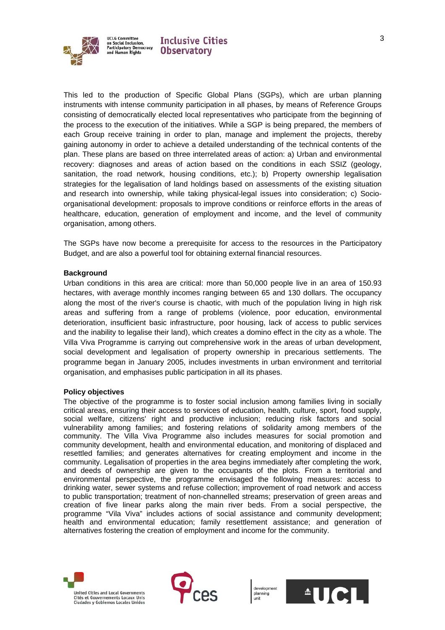

This led to the production of Specific Global Plans (SGPs), which are urban planning instruments with intense community participation in all phases, by means of Reference Groups consisting of democratically elected local representatives who participate from the beginning of the process to the execution of the initiatives. While a SGP is being prepared, the members of each Group receive training in order to plan, manage and implement the projects, thereby gaining autonomy in order to achieve a detailed understanding of the technical contents of the plan. These plans are based on three interrelated areas of action: a) Urban and environmental recovery: diagnoses and areas of action based on the conditions in each SSIZ (geology, sanitation, the road network, housing conditions, etc.); b) Property ownership legalisation strategies for the legalisation of land holdings based on assessments of the existing situation and research into ownership, while taking physical-legal issues into consideration; c) Socioorganisational development: proposals to improve conditions or reinforce efforts in the areas of healthcare, education, generation of employment and income, and the level of community organisation, among others.

The SGPs have now become a prerequisite for access to the resources in the Participatory Budget, and are also a powerful tool for obtaining external financial resources.

#### **Background**

Urban conditions in this area are critical: more than 50,000 people live in an area of 150.93 hectares, with average monthly incomes ranging between 65 and 130 dollars. The occupancy along the most of the river's course is chaotic, with much of the population living in high risk areas and suffering from a range of problems (violence, poor education, environmental deterioration, insufficient basic infrastructure, poor housing, lack of access to public services and the inability to legalise their land), which creates a domino effect in the city as a whole. The Villa Viva Programme is carrying out comprehensive work in the areas of urban development, social development and legalisation of property ownership in precarious settlements. The programme began in January 2005, includes investments in urban environment and territorial organisation, and emphasises public participation in all its phases.

#### **Policy objectives**

The objective of the programme is to foster social inclusion among families living in socially critical areas, ensuring their access to services of education, health, culture, sport, food supply, social welfare, citizens' right and productive inclusion; reducing risk factors and social vulnerability among families; and fostering relations of solidarity among members of the community. The Villa Viva Programme also includes measures for social promotion and community development, health and environmental education, and monitoring of displaced and resettled families; and generates alternatives for creating employment and income in the community. Legalisation of properties in the area begins immediately after completing the work, and deeds of ownership are given to the occupants of the plots. From a territorial and environmental perspective, the programme envisaged the following measures: access to drinking water, sewer systems and refuse collection; improvement of road network and access to public transportation; treatment of non-channelled streams; preservation of green areas and creation of five linear parks along the main river beds. From a social perspective, the programme "Vila Viva" includes actions of social assistance and community development; health and environmental education; family resettlement assistance; and generation of alternatives fostering the creation of employment and income for the community.





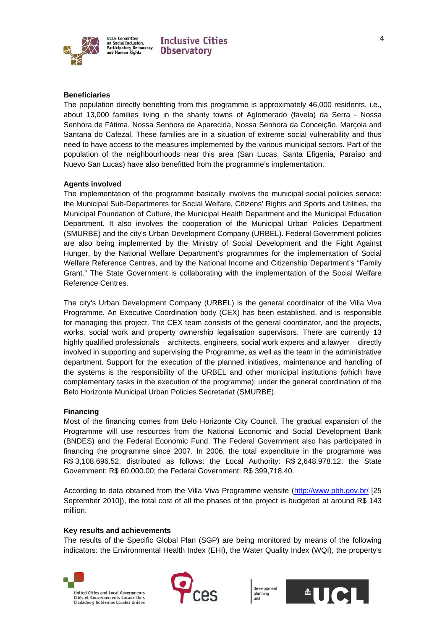

**UCLG Committee UCLG Committee<br>on Social Inclusion,<br>Participatory Democracy<br>and Human Rights** 



#### **Beneficiaries**

The population directly benefiting from this programme is approximately 46,000 residents, i.e., about 13,000 families living in the shanty towns of Aglomerado (favela) da Serra - Nossa Senhora de Fátima, Nossa Senhora de Aparecida, Nossa Senhora da Conceição, Marçola and Santana do Cafezal. These families are in a situation of extreme social vulnerability and thus need to have access to the measures implemented by the various municipal sectors. Part of the population of the neighbourhoods near this area (San Lucas, Santa Efigenia, Paraíso and Nuevo San Lucas) have also benefitted from the programme's implementation.

#### **Agents involved**

The implementation of the programme basically involves the municipal social policies service: the Municipal Sub-Departments for Social Welfare, Citizens' Rights and Sports and Utilities, the Municipal Foundation of Culture, the Municipal Health Department and the Municipal Education Department. It also involves the cooperation of the Municipal Urban Policies Department (SMURBE) and the city's Urban Development Company (URBEL). Federal Government policies are also being implemented by the Ministry of Social Development and the Fight Against Hunger, by the National Welfare Department's programmes for the implementation of Social Welfare Reference Centres, and by the National Income and Citizenship Department's "Family Grant." The State Government is collaborating with the implementation of the Social Welfare Reference Centres.

The city's Urban Development Company (URBEL) is the general coordinator of the Villa Viva Programme. An Executive Coordination body (CEX) has been established, and is responsible for managing this project. The CEX team consists of the general coordinator, and the projects, works, social work and property ownership legalisation supervisors. There are currently 13 highly qualified professionals – architects, engineers, social work experts and a lawyer – directly involved in supporting and supervising the Programme, as well as the team in the administrative department. Support for the execution of the planned initiatives, maintenance and handling of the systems is the responsibility of the URBEL and other municipal institutions (which have complementary tasks in the execution of the programme), under the general coordination of the Belo Horizonte Municipal Urban Policies Secretariat (SMURBE).

#### **Financing**

Most of the financing comes from Belo Horizonte City Council. The gradual expansion of the Programme will use resources from the National Economic and Social Development Bank (BNDES) and the Federal Economic Fund. The Federal Government also has participated in financing the programme since 2007. In 2006, the total expenditure in the programme was R\$ 3,108,696.52, distributed as follows: the Local Authority: R\$ 2,648,978.12; the State Government: R\$ 60,000.00; the Federal Government: R\$ 399,718.40.

According to data obtained from the Villa Viva Programme website (http://www.pbh.gov.br/ [25 September 2010]), the total cost of all the phases of the project is budgeted at around R\$ 143 million.

#### **Key results and achievements**

The results of the Specific Global Plan (SGP) are being monitored by means of the following indicators: the Environmental Health Index (EHI), the Water Quality Index (WQI), the property's





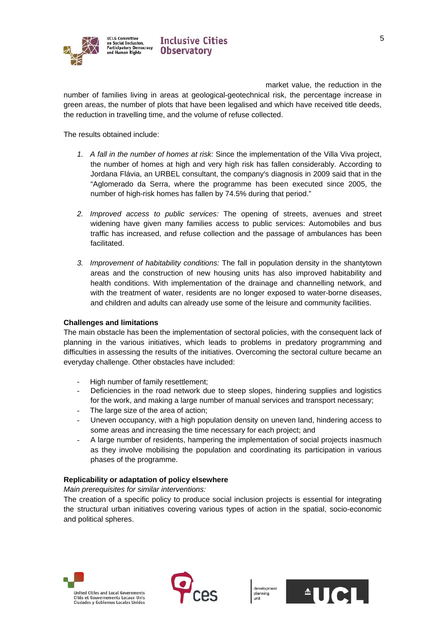

market value, the reduction in the number of families living in areas at geological-geotechnical risk, the percentage increase in green areas, the number of plots that have been legalised and which have received title deeds, the reduction in travelling time, and the volume of refuse collected.

The results obtained include:

- *1. A fall in the number of homes at risk:* Since the implementation of the Villa Viva project, the number of homes at high and very high risk has fallen considerably. According to Jordana Flávia, an URBEL consultant, the company's diagnosis in 2009 said that in the "Aglomerado da Serra, where the programme has been executed since 2005, the number of high-risk homes has fallen by 74.5% during that period."
- *2. Improved access to public services:* The opening of streets, avenues and street widening have given many families access to public services: Automobiles and bus traffic has increased, and refuse collection and the passage of ambulances has been facilitated.
- *3. Improvement of habitability conditions:* The fall in population density in the shantytown areas and the construction of new housing units has also improved habitability and health conditions. With implementation of the drainage and channelling network, and with the treatment of water, residents are no longer exposed to water-borne diseases, and children and adults can already use some of the leisure and community facilities.

# **Challenges and limitations**

The main obstacle has been the implementation of sectoral policies, with the consequent lack of planning in the various initiatives, which leads to problems in predatory programming and difficulties in assessing the results of the initiatives. Overcoming the sectoral culture became an everyday challenge. Other obstacles have included:

- High number of family resettlement:
- Deficiencies in the road network due to steep slopes, hindering supplies and logistics for the work, and making a large number of manual services and transport necessary;
- The large size of the area of action;
- Uneven occupancy, with a high population density on uneven land, hindering access to some areas and increasing the time necessary for each project; and
- A large number of residents, hampering the implementation of social projects inasmuch as they involve mobilising the population and coordinating its participation in various phases of the programme.

# **Replicability or adaptation of policy elsewhere**

*Main prerequisites for similar interventions:* 

The creation of a specific policy to produce social inclusion projects is essential for integrating the structural urban initiatives covering various types of action in the spatial, socio-economic and political spheres.





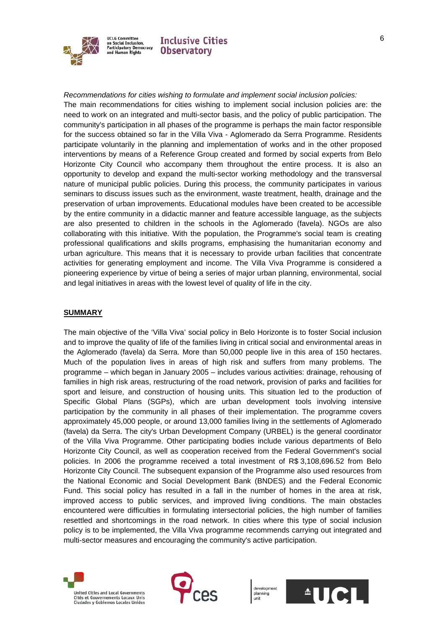

# *Recommendations for cities wishing to formulate and implement social inclusion policies:*

The main recommendations for cities wishing to implement social inclusion policies are: the need to work on an integrated and multi-sector basis, and the policy of public participation. The community's participation in all phases of the programme is perhaps the main factor responsible for the success obtained so far in the Villa Viva - Aglomerado da Serra Programme. Residents participate voluntarily in the planning and implementation of works and in the other proposed interventions by means of a Reference Group created and formed by social experts from Belo Horizonte City Council who accompany them throughout the entire process. It is also an opportunity to develop and expand the multi-sector working methodology and the transversal nature of municipal public policies. During this process, the community participates in various seminars to discuss issues such as the environment, waste treatment, health, drainage and the preservation of urban improvements. Educational modules have been created to be accessible by the entire community in a didactic manner and feature accessible language, as the subjects are also presented to children in the schools in the Aglomerado (favela). NGOs are also collaborating with this initiative. With the population, the Programme's social team is creating professional qualifications and skills programs, emphasising the humanitarian economy and urban agriculture. This means that it is necessary to provide urban facilities that concentrate activities for generating employment and income. The Villa Viva Programme is considered a pioneering experience by virtue of being a series of major urban planning, environmental, social and legal initiatives in areas with the lowest level of quality of life in the city.

#### **SUMMARY**

The main objective of the 'Villa Viva' social policy in Belo Horizonte is to foster Social inclusion and to improve the quality of life of the families living in critical social and environmental areas in the Aglomerado (favela) da Serra. More than 50,000 people live in this area of 150 hectares. Much of the population lives in areas of high risk and suffers from many problems. The programme – which began in January 2005 – includes various activities: drainage, rehousing of families in high risk areas, restructuring of the road network, provision of parks and facilities for sport and leisure, and construction of housing units. This situation led to the production of Specific Global Plans (SGPs), which are urban development tools involving intensive participation by the community in all phases of their implementation. The programme covers approximately 45,000 people, or around 13,000 families living in the settlements of Aglomerado (favela) da Serra. The city's Urban Development Company (URBEL) is the general coordinator of the Villa Viva Programme. Other participating bodies include various departments of Belo Horizonte City Council, as well as cooperation received from the Federal Government's social policies. In 2006 the programme received a total investment of R\$ 3,108,696.52 from Belo Horizonte City Council. The subsequent expansion of the Programme also used resources from the National Economic and Social Development Bank (BNDES) and the Federal Economic Fund. This social policy has resulted in a fall in the number of homes in the area at risk, improved access to public services, and improved living conditions. The main obstacles encountered were difficulties in formulating intersectorial policies, the high number of families resettled and shortcomings in the road network. In cities where this type of social inclusion policy is to be implemented, the Villa Viva programme recommends carrying out integrated and multi-sector measures and encouraging the community's active participation.